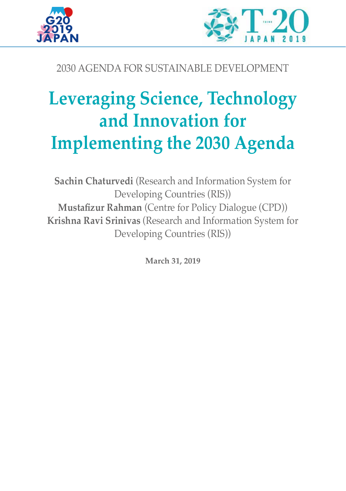



## 2030 AGENDA FOR SUSTAINABLE DEVELOPMENT

# **Leveraging Science, Technology and Innovation for Implementing the 2030 Agenda**

**Sachin Chaturvedi** (Research and Information System for Developing Countries (RIS)) **Mustafizur Rahman** (Centre for Policy Dialogue (CPD)) **Krishna Ravi Srinivas** (Research and Information System for Developing Countries (RIS))

**March 31, 2019**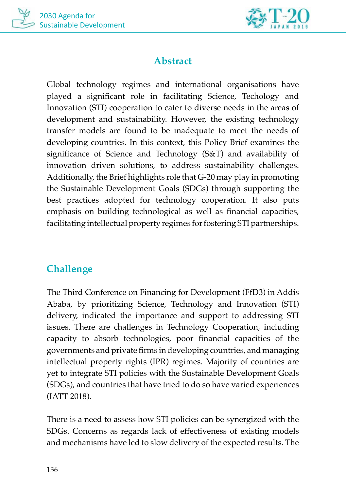



## **Abstract**

Global technology regimes and international organisations have played a significant role in facilitating Science, Techology and Innovation (STI) cooperation to cater to diverse needs in the areas of development and sustainability. However, the existing technology transfer models are found to be inadequate to meet the needs of developing countries. In this context, this Policy Brief examines the significance of Science and Technology (S&T) and availability of innovation driven solutions, to address sustainability challenges. Additionally, the Brief highlights role that G-20 may play in promoting the Sustainable Development Goals (SDGs) through supporting the best practices adopted for technology cooperation. It also puts emphasis on building technological as well as financial capacities, facilitating intellectual property regimes for fostering STI partnerships.

## **Challenge**

The Third Conference on Financing for Development (FfD3) in Addis Ababa, by prioritizing Science, Technology and Innovation (STI) delivery, indicated the importance and support to addressing STI issues. There are challenges in Technology Cooperation, including capacity to absorb technologies, poor financial capacities of the governments and private firms in developing countries, and managing intellectual property rights (IPR) regimes. Majority of countries are yet to integrate STI policies with the Sustainable Development Goals (SDGs), and countries that have tried to do so have varied experiences (IATT 2018).

There is a need to assess how STI policies can be synergized with the SDGs. Concerns as regards lack of effectiveness of existing models and mechanisms have led to slow delivery of the expected results. The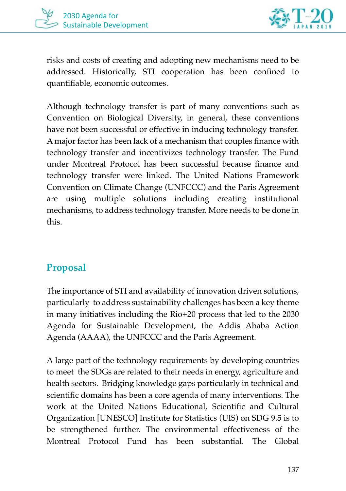



risks and costs of creating and adopting new mechanisms need to be addressed. Historically, STI cooperation has been confined to quantifiable, economic outcomes.

Although technology transfer is part of many conventions such as Convention on Biological Diversity, in general, these conventions have not been successful or effective in inducing technology transfer. A major factor has been lack of a mechanism that couples finance with technology transfer and incentivizes technology transfer. The Fund under Montreal Protocol has been successful because finance and technology transfer were linked. The United Nations Framework Convention on Climate Change (UNFCCC) and the Paris Agreement are using multiple solutions including creating institutional mechanisms, to address technology transfer. More needs to be done in this.

### **Proposal**

The importance of STI and availability of innovation driven solutions, particularly to address sustainability challenges has been a key theme in many initiatives including the Rio+20 process that led to the 2030 Agenda for Sustainable Development, the Addis Ababa Action Agenda (AAAA), the UNFCCC and the Paris Agreement.

A large part of the technology requirements by developing countries to meet the SDGs are related to their needs in energy, agriculture and health sectors. Bridging knowledge gaps particularly in technical and scientific domains has been a core agenda of many interventions. The work at the United Nations Educational, Scientific and Cultural Organization [UNESCO] Institute for Statistics (UIS) on SDG 9.5 is to be strengthened further. The environmental effectiveness of the Montreal Protocol Fund has been substantial. The Global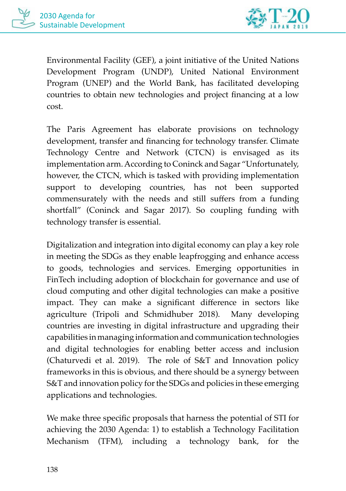

Environmental Facility (GEF), a joint initiative of the United Nations Development Program (UNDP), United National Environment Program (UNEP) and the World Bank, has facilitated developing countries to obtain new technologies and project financing at a low cost.

The Paris Agreement has elaborate provisions on technology development, transfer and financing for technology transfer. Climate Technology Centre and Network (CTCN) is envisaged as its implementation arm. According to Coninck and Sagar "Unfortunately, however, the CTCN, which is tasked with providing implementation support to developing countries, has not been supported commensurately with the needs and still suffers from a funding shortfall" (Coninck and Sagar 2017). So coupling funding with technology transfer is essential.

Digitalization and integration into digital economy can play a key role in meeting the SDGs as they enable leapfrogging and enhance access to goods, technologies and services. Emerging opportunities in FinTech including adoption of blockchain for governance and use of cloud computing and other digital technologies can make a positive impact. They can make a significant difference in sectors like agriculture (Tripoli and Schmidhuber 2018). Many developing countries are investing in digital infrastructure and upgrading their capabilities in managing information and communication technologies and digital technologies for enabling better access and inclusion (Chaturvedi et al. 2019). The role of S&T and Innovation policy frameworks in this is obvious, and there should be a synergy between S&T and innovation policy for the SDGs and policies in these emerging applications and technologies.

We make three specific proposals that harness the potential of STI for achieving the 2030 Agenda: 1) to establish a Technology Facilitation Mechanism (TFM), including a technology bank, for the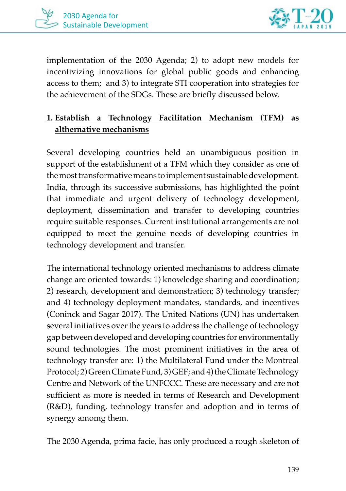



implementation of the 2030 Agenda; 2) to adopt new models for incentivizing innovations for global public goods and enhancing access to them; and 3) to integrate STI cooperation into strategies for the achievement of the SDGs. These are briefly discussed below.

#### **1. Establish a Technology Facilitation Mechanism (TFM) as althernative mechanisms**

Several developing countries held an unambiguous position in support of the establishment of a TFM which they consider as one of the most transformative means to implement sustainable development. India, through its successive submissions, has highlighted the point that immediate and urgent delivery of technology development, deployment, dissemination and transfer to developing countries require suitable responses. Current institutional arrangements are not equipped to meet the genuine needs of developing countries in technology development and transfer.

The international technology oriented mechanisms to address climate change are oriented towards: 1) knowledge sharing and coordination; 2) research, development and demonstration; 3) technology transfer; and 4) technology deployment mandates, standards, and incentives (Coninck and Sagar 2017). The United Nations (UN) has undertaken several initiatives over the years to address the challenge of technology gap between developed and developing countries for environmentally sound technologies. The most prominent initiatives in the area of technology transfer are: 1) the Multilateral Fund under the Montreal Protocol; 2) Green Climate Fund, 3) GEF; and 4) the Climate Technology Centre and Network of the UNFCCC. These are necessary and are not sufficient as more is needed in terms of Research and Development (R&D), funding, technology transfer and adoption and in terms of synergy amomg them.

The 2030 Agenda, prima facie, has only produced a rough skeleton of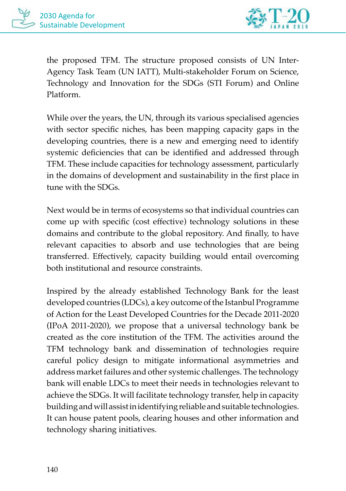

the proposed TFM. The structure proposed consists of UN Inter-Agency Task Team (UN IATT), Multi-stakeholder Forum on Science, Technology and Innovation for the SDGs (STI Forum) and Online Platform.

While over the years, the UN, through its various specialised agencies with sector specific niches, has been mapping capacity gaps in the developing countries, there is a new and emerging need to identify systemic deficiencies that can be identified and addressed through TFM. These include capacities for technology assessment, particularly in the domains of development and sustainability in the first place in tune with the SDGs.

Next would be in terms of ecosystems so that individual countries can come up with specific (cost effective) technology solutions in these domains and contribute to the global repository. And finally, to have relevant capacities to absorb and use technologies that are being transferred. Effectively, capacity building would entail overcoming both institutional and resource constraints.

Inspired by the already established Technology Bank for the least developed countries (LDCs), a key outcome of the Istanbul Programme of Action for the Least Developed Countries for the Decade 2011-2020 (IPoA 2011-2020), we propose that a universal technology bank be created as the core institution of the TFM. The activities around the TFM technology bank and dissemination of technologies require careful policy design to mitigate informational asymmetries and address market failures and other systemic challenges. The technology bank will enable LDCs to meet their needs in technologies relevant to achieve the SDGs. It will facilitate technology transfer, help in capacity building and will assist in identifying reliable and suitable technologies. It can house patent pools, clearing houses and other information and technology sharing initiatives.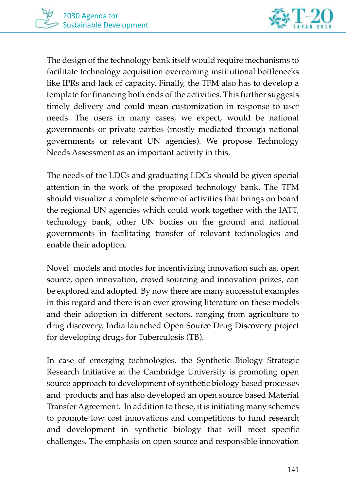

The design of the technology bank itself would require mechanisms to facilitate technology acquisition overcoming institutional bottlenecks like IPRs and lack of capacity. Finally, the TFM also has to develop a template for financing both ends of the activities. This further suggests timely delivery and could mean customization in response to user needs. The users in many cases, we expect, would be national governments or private parties (mostly mediated through national governments or relevant UN agencies). We propose Technology Needs Assessment as an important activity in this.

The needs of the LDCs and graduating LDCs should be given special attention in the work of the proposed technology bank. The TFM should visualize a complete scheme of activities that brings on board the regional UN agencies which could work together with the IATT, technology bank, other UN bodies on the ground and national governments in facilitating transfer of relevant technologies and enable their adoption.

Novel models and modes for incentivizing innovation such as, open source, open innovation, crowd sourcing and innovation prizes, can be explored and adopted. By now there are many successful examples in this regard and there is an ever growing literature on these models and their adoption in different sectors, ranging from agriculture to drug discovery. India launched Open Source Drug Discovery project for developing drugs for Tuberculosis (TB).

In case of emerging technologies, the Synthetic Biology Strategic Research Initiative at the Cambridge University is promoting open source approach to development of synthetic biology based processes and products and has also developed an open source based Material Transfer Agreement. In addition to these, it is initiating many schemes to promote low cost innovations and competitions to fund research and development in synthetic biology that will meet specific challenges. The emphasis on open source and responsible innovation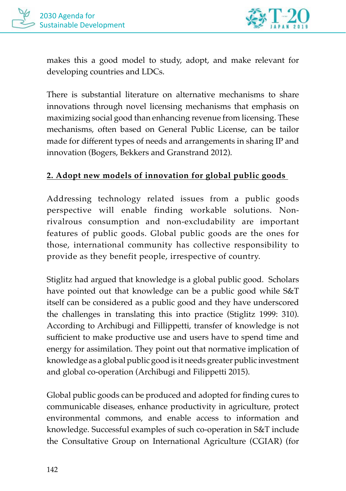

makes this a good model to study, adopt, and make relevant for developing countries and LDCs.

There is substantial literature on alternative mechanisms to share innovations through novel licensing mechanisms that emphasis on maximizing social good than enhancing revenue from licensing. These mechanisms, often based on General Public License, can be tailor made for different types of needs and arrangements in sharing IP and innovation (Bogers, Bekkers and Granstrand 2012).

#### **2. Adopt new models of innovation for global public goods**

Addressing technology related issues from a public goods perspective will enable finding workable solutions. Nonrivalrous consumption and non-excludability are important features of public goods. Global public goods are the ones for those, international community has collective responsibility to provide as they benefit people, irrespective of country.

Stiglitz had argued that knowledge is a global public good. Scholars have pointed out that knowledge can be a public good while S&T itself can be considered as a public good and they have underscored the challenges in translating this into practice (Stiglitz 1999: 310). According to Archibugi and Fillippetti, transfer of knowledge is not sufficient to make productive use and users have to spend time and energy for assimilation. They point out that normative implication of knowledge as a global public good is it needs greater public investment and global co-operation (Archibugi and Filippetti 2015).

Global public goods can be produced and adopted for finding cures to communicable diseases, enhance productivity in agriculture, protect environmental commons, and enable access to information and knowledge. Successful examples of such co-operation in S&T include the Consultative Group on International Agriculture (CGIAR) (for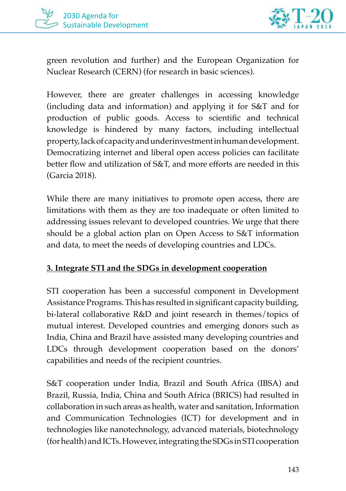



green revolution and further) and the European Organization for Nuclear Research (CERN) (for research in basic sciences).

However, there are greater challenges in accessing knowledge (including data and information) and applying it for S&T and for production of public goods. Access to scientific and technical knowledge is hindered by many factors, including intellectual property, lack of capacity and underinvestment in human development. Democratizing internet and liberal open access policies can facilitate better flow and utilization of S&T, and more efforts are needed in this (Garcia 2018).

While there are many initiatives to promote open access, there are limitations with them as they are too inadequate or often limited to addressing issues relevant to developed countries. We urge that there should be a global action plan on Open Access to S&T information and data, to meet the needs of developing countries and LDCs.

#### **3. Integrate STI and the SDGs in development cooperation**

STI cooperation has been a successful component in Development Assistance Programs. This has resulted in significant capacity building, bi-lateral collaborative R&D and joint research in themes/topics of mutual interest. Developed countries and emerging donors such as India, China and Brazil have assisted many developing countries and LDCs through development cooperation based on the donors' capabilities and needs of the recipient countries.

S&T cooperation under India, Brazil and South Africa (IBSA) and Brazil, Russia, India, China and South Africa (BRICS) had resulted in collaboration in such areas as health, water and sanitation, Information and Communication Technologies (ICT) for development and in technologies like nanotechnology, advanced materials, biotechnology (for health) and ICTs. However, integrating the SDGs in STI cooperation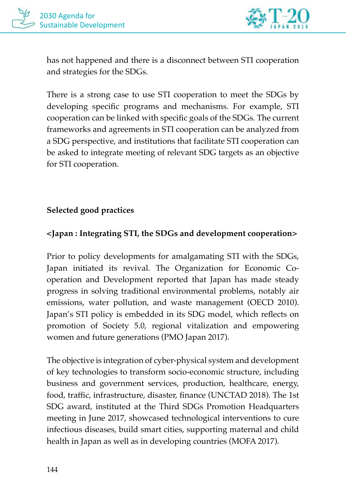

has not happened and there is a disconnect between STI cooperation and strategies for the SDGs.

There is a strong case to use STI cooperation to meet the SDGs by developing specific programs and mechanisms. For example, STI cooperation can be linked with specific goals of the SDGs. The current frameworks and agreements in STI cooperation can be analyzed from a SDG perspective, and institutions that facilitate STI cooperation can be asked to integrate meeting of relevant SDG targets as an objective for STI cooperation.

#### **Selected good practices**

#### **<Japan : Integrating STI, the SDGs and development cooperation>**

Prior to policy developments for amalgamating STI with the SDGs, Japan initiated its revival. The Organization for Economic Cooperation and Development reported that Japan has made steady progress in solving traditional environmental problems, notably air emissions, water pollution, and waste management (OECD 2010). Japan's STI policy is embedded in its SDG model, which reflects on promotion of Society 5.0, regional vitalization and empowering women and future generations (PMO Japan 2017).

The objective is integration of cyber-physical system and development of key technologies to transform socio-economic structure, including business and government services, production, healthcare, energy, food, traffic, infrastructure, disaster, finance (UNCTAD 2018). The 1st SDG award, instituted at the Third SDGs Promotion Headquarters meeting in June 2017, showcased technological interventions to cure infectious diseases, build smart cities, supporting maternal and child health in Japan as well as in developing countries (MOFA 2017).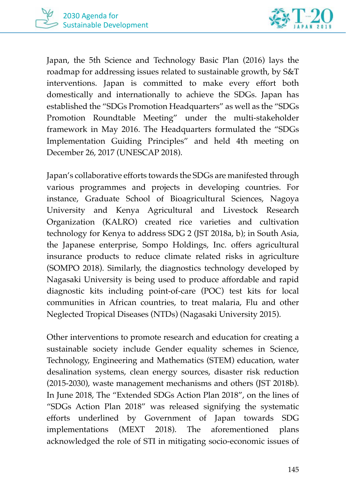



Japan, the 5th Science and Technology Basic Plan (2016) lays the roadmap for addressing issues related to sustainable growth, by S&T interventions. Japan is committed to make every effort both domestically and internationally to achieve the SDGs. Japan has established the "SDGs Promotion Headquarters" as well as the "SDGs Promotion Roundtable Meeting" under the multi-stakeholder framework in May 2016. The Headquarters formulated the "SDGs Implementation Guiding Principles" and held 4th meeting on December 26, 2017 (UNESCAP 2018).

Japan's collaborative efforts towards the SDGs are manifested through various programmes and projects in developing countries. For instance, Graduate School of Bioagricultural Sciences, Nagoya University and Kenya Agricultural and Livestock Research Organization (KALRO) created rice varieties and cultivation technology for Kenya to address SDG 2 (JST 2018a, b); in South Asia, the Japanese enterprise, Sompo Holdings, Inc. offers agricultural insurance products to reduce climate related risks in agriculture (SOMPO 2018). Similarly, the diagnostics technology developed by Nagasaki University is being used to produce affordable and rapid diagnostic kits including point-of-care (POC) test kits for local communities in African countries, to treat malaria, Flu and other Neglected Tropical Diseases (NTDs) (Nagasaki University 2015).

Other interventions to promote research and education for creating a sustainable society include Gender equality schemes in Science, Technology, Engineering and Mathematics (STEM) education, water desalination systems, clean energy sources, disaster risk reduction (2015-2030), waste management mechanisms and others (JST 2018b). In June 2018, The "Extended SDGs Action Plan 2018", on the lines of "SDGs Action Plan 2018" was released signifying the systematic efforts underlined by Government of Japan towards SDG implementations (MEXT 2018). The aforementioned plans acknowledged the role of STI in mitigating socio-economic issues of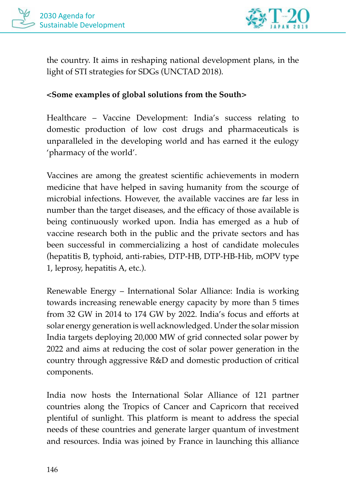



the country. It aims in reshaping national development plans, in the light of STI strategies for SDGs (UNCTAD 2018).

#### **<Some examples of global solutions from the South>**

Healthcare – Vaccine Development: India's success relating to domestic production of low cost drugs and pharmaceuticals is unparalleled in the developing world and has earned it the eulogy 'pharmacy of the world'.

Vaccines are among the greatest scientific achievements in modern medicine that have helped in saving humanity from the scourge of microbial infections. However, the available vaccines are far less in number than the target diseases, and the efficacy of those available is being continuously worked upon. India has emerged as a hub of vaccine research both in the public and the private sectors and has been successful in commercializing a host of candidate molecules (hepatitis B, typhoid, anti-rabies, DTP-HB, DTP-HB-Hib, mOPV type 1, leprosy, hepatitis A, etc.).

Renewable Energy – International Solar Alliance: India is working towards increasing renewable energy capacity by more than 5 times from 32 GW in 2014 to 174 GW by 2022. India's focus and efforts at solar energy generation is well acknowledged. Under the solar mission India targets deploying 20,000 MW of grid connected solar power by 2022 and aims at reducing the cost of solar power generation in the country through aggressive R&D and domestic production of critical components.

India now hosts the International Solar Alliance of 121 partner countries along the Tropics of Cancer and Capricorn that received plentiful of sunlight. This platform is meant to address the special needs of these countries and generate larger quantum of investment and resources. India was joined by France in launching this alliance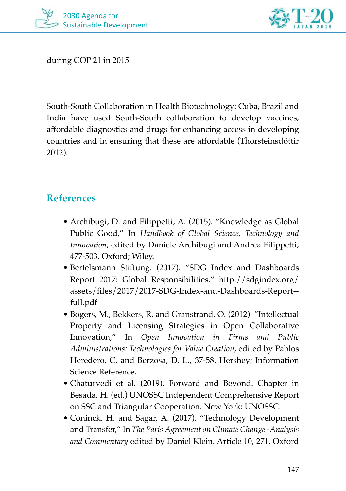



during COP 21 in 2015.

South-South Collaboration in Health Biotechnology: Cuba, Brazil and India have used South-South collaboration to develop vaccines, affordable diagnostics and drugs for enhancing access in developing countries and in ensuring that these are affordable (Thorsteinsdóttir 2012).

#### **References**

- Archibugi, D. and Filippetti, A. (2015). "Knowledge as Global Public Good," In *Handbook of Global Science, Technology and Innovation*, edited by Daniele Archibugi and Andrea Filippetti, 477-503. Oxford; Wiley.
- Bertelsmann Stiftung. (2017). "SDG Index and Dashboards Report 2017: Global Responsibilities." http://sdgindex.org/ assets/files/2017/2017-SDG-Index-and-Dashboards-Report- full.pdf
- Bogers, M., Bekkers, R. and Granstrand, O. (2012). "Intellectual Property and Licensing Strategies in Open Collaborative Innovation," In *Open Innovation in Firms and Public Administrations: Technologies for Value Creation*, edited by Pablos Heredero, C. and Berzosa, D. L., 37-58. Hershey; Information Science Reference.
- Chaturvedi et al. (2019). Forward and Beyond. Chapter in Besada, H. (ed.) UNOSSC Independent Comprehensive Report on SSC and Triangular Cooperation. New York: UNOSSC.
- Coninck, H. and Sagar, A. (2017). "Technology Development and Transfer," In *The Paris Agreement on Climate Change -Analysis and Commentary* edited by Daniel Klein. Article 10, 271. Oxford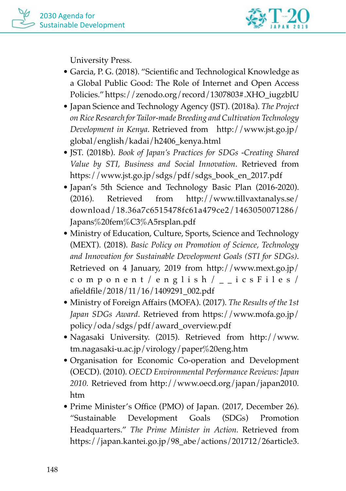

University Press.

- Garcia, P. G. (2018). "Scientific and Technological Knowledge as a Global Public Good: The Role of Internet and Open Access Policies." https://zenodo.org/record/1307803#.XHO\_iugzbIU
- Japan Science and Technology Agency (JST). (2018a). *The Project on Rice Research for Tailor-made Breeding and Cultivation Technology Development in Kenya*. Retrieved from http://www.jst.go.jp/ global/english/kadai/h2406\_kenya.html
- JST. (2018b). *Book of Japan's Practices for SDGs -Creating Shared Value by STI, Business and Social Innovation*. Retrieved from https://www.jst.go.jp/sdgs/pdf/sdgs\_book\_en\_2017.pdf
- Japan's 5th Science and Technology Basic Plan (2016-2020). (2016). Retrieved from http://www.tillvaxtanalys.se/ download/18.36a7c6515478fc61a479ce2/1463050071286/ Japans%20fem%C3%A5rsplan.pdf
- Ministry of Education, Culture, Sports, Science and Technology (MEXT). (2018). *Basic Policy on Promotion of Science, Technology and Innovation for Sustainable Development Goals (STI for SDGs)*. Retrieved on 4 January, 2019 from http://www.mext.go.jp/ component/english/\_\_icsFiles/ afieldfile/2018/11/16/1409291\_002.pdf
- Ministry of Foreign Affairs (MOFA). (2017). *The Results of the 1st Japan SDGs Award*. Retrieved from https://www.mofa.go.jp/ policy/oda/sdgs/pdf/award\_overview.pdf
- Nagasaki University. (2015). Retrieved from http://www. tm.nagasaki-u.ac.jp/virology/paper%20eng.htm
- Organisation for Economic Co-operation and Development (OECD). (2010). *OECD Environmental Performance Reviews: Japan 2010.* Retrieved from http://www.oecd.org/japan/japan2010. htm
- Prime Minister's Office (PMO) of Japan. (2017, December 26). "Sustainable Development Goals (SDGs) Promotion Headquarters." *The Prime Minister in Action.* Retrieved from https://japan.kantei.go.jp/98\_abe/actions/201712/26article3.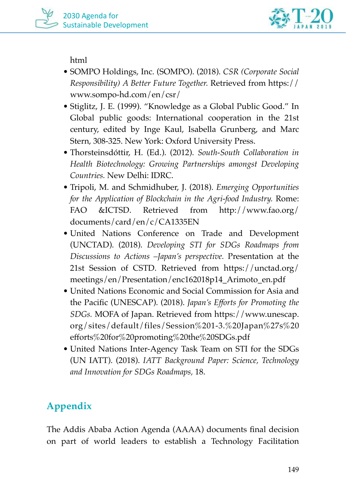

html

- SOMPO Holdings, Inc. (SOMPO). (2018). *CSR (Corporate Social Responsibility) A Better Future Together.* Retrieved from https:// www.sompo-hd.com/en/csr/
- Stiglitz, J. E. (1999). "Knowledge as a Global Public Good." In Global public goods: International cooperation in the 21st century, edited by Inge Kaul, Isabella Grunberg, and Marc Stern, 308-325. New York: Oxford University Press.
- Thorsteinsdóttir, H. (Ed.). (2012). *South-South Collaboration in Health Biotechnology: Growing Partnerships amongst Developing Countries.* New Delhi: IDRC.
- Tripoli, M. and Schmidhuber, J. (2018). *Emerging Opportunities for the Application of Blockchain in the Agri-food Industry.* Rome: FAO &ICTSD. Retrieved from http://www.fao.org/ documents/card/en/c/CA1335EN
- United Nations Conference on Trade and Development (UNCTAD). (2018). *Developing STI for SDGs Roadmaps from Discussions to Actions –Japan's perspective.* Presentation at the 21st Session of CSTD. Retrieved from https://unctad.org/ meetings/en/Presentation/enc162018p14\_Arimoto\_en.pdf
- United Nations Economic and Social Commission for Asia and the Pacific (UNESCAP). (2018). *Japan's Efforts for Promoting the SDGs.* MOFA of Japan. Retrieved from https://www.unescap. org/sites/default/files/Session%201-3.%20Japan%27s%20 efforts%20for%20promoting%20the%20SDGs.pdf
- United Nations Inter-Agency Task Team on STI for the SDGs (UN IATT). (2018). *IATT Background Paper: Science, Technology and Innovation for SDGs Roadmaps,* 18.

## **Appendix**

The Addis Ababa Action Agenda (AAAA) documents final decision on part of world leaders to establish a Technology Facilitation